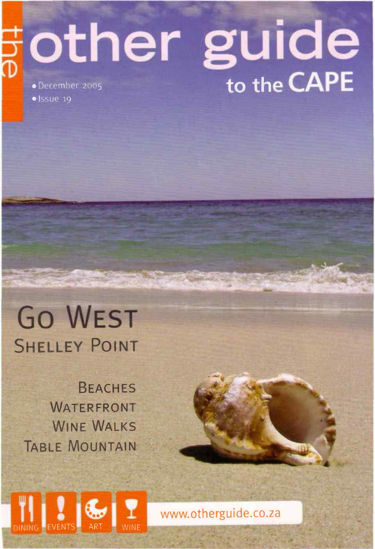## other guide  $\bullet$  Issue 19

## Go WEST **SHELLEY POINT**

BEACHES WATERFRONT WINE WALKS TABLE MOUNTAIN



www.otherguide.co.za